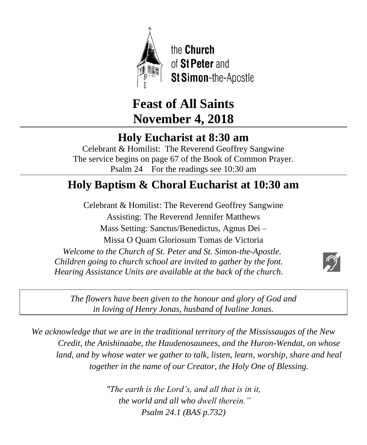

the Church of St Peter and St Simon-the-Apostle

# **Feast of All Saints November 4, 2018**

# **Holy Eucharist at 8:30 am**

Celebrant & Homilist: The Reverend Geoffrey Sangwine The service begins on page 67 of the Book of Common Prayer. Psalm 24 For the readings see 10:30 am

# **Holy Baptism & Choral Eucharist at 10:30 am**

Celebrant & Homilist: The Reverend Geoffrey Sangwine Assisting: The Reverend Jennifer Matthews Mass Setting: Sanctus/Benedictus, Agnus Dei – Missa O Quam Gloriosum Tomas de Victoria *Welcome to the Church of St. Peter and St. Simon-the-Apostle. Children going to church school are invited to gather by the font.*

*Hearing Assistance Units are available at the back of the church.*



*The flowers have been given to the honour and glory of God and in loving of Henry Jonas, husband of Ivaline Jonas.*

*We acknowledge that we are in the traditional territory of the Mississaugas of the New Credit, the Anishinaabe, the Haudenosaunees, and the Huron-Wendat, on whose*  land, and by whose water we gather to talk, listen, learn, worship, share and heal *together in the name of our Creator, the Holy One of Blessing.*

> *"The earth is the Lord's, and all that is in it, the world and all who dwell therein." Psalm 24.1 (BAS p.732)*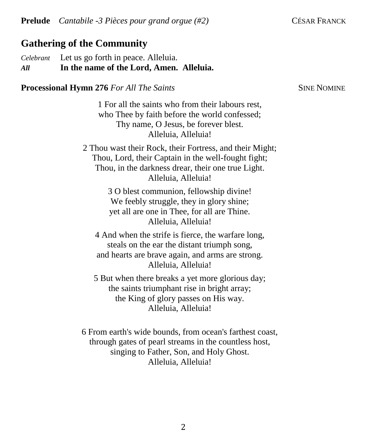# **Gathering of the Community**

*Celebrant* Let us go forth in peace. Alleluia. *All* **In the name of the Lord, Amen. Alleluia.**

**Processional Hymn 276** *For All The Saints* **SINE NOMINE** SINE NOMINE

1 For all the saints who from their labours rest, who Thee by faith before the world confessed; Thy name, O Jesus, be forever blest. Alleluia, Alleluia!

2 Thou wast their Rock, their Fortress, and their Might; Thou, Lord, their Captain in the well-fought fight; Thou, in the darkness drear, their one true Light. Alleluia, Alleluia!

> 3 O blest communion, fellowship divine! We feebly struggle, they in glory shine; yet all are one in Thee, for all are Thine. Alleluia, Alleluia!

4 And when the strife is fierce, the warfare long, steals on the ear the distant triumph song, and hearts are brave again, and arms are strong. Alleluia, Alleluia!

5 But when there breaks a yet more glorious day; the saints triumphant rise in bright array; the King of glory passes on His way. Alleluia, Alleluia!

6 From earth's wide bounds, from ocean's farthest coast, through gates of pearl streams in the countless host, singing to Father, Son, and Holy Ghost. Alleluia, Alleluia!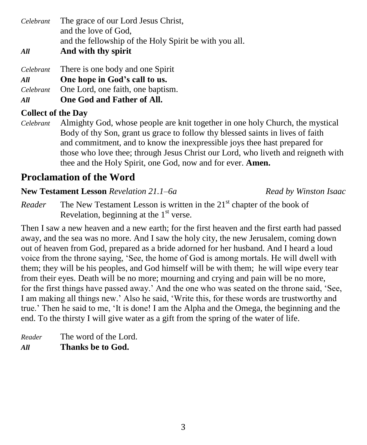*Celebrant* The grace of our Lord Jesus Christ, and the love of God, and the fellowship of the Holy Spirit be with you all. *All* **And with thy spirit**

*Celebrant* There is one body and one Spirit

*All* **One hope in God's call to us.**

*Celebrant* One Lord, one faith, one baptism.

*All* **One God and Father of All.**

# **Collect of the Day**

*Celebrant* Almighty God, whose people are knit together in one holy Church, the mystical Body of thy Son, grant us grace to follow thy blessed saints in lives of faith and commitment, and to know the inexpressible joys thee hast prepared for those who love thee; through Jesus Christ our Lord, who liveth and reigneth with thee and the Holy Spirit, one God, now and for ever. **Amen.**

# **Proclamation of the Word**

# **New Testament Lesson** *Revelation 21.1–6a**Read by Winston Isaac*

*Reader* The New Testament Lesson is written in the 21<sup>st</sup> chapter of the book of Revelation, beginning at the  $1<sup>st</sup>$  verse.

Then I saw a new heaven and a new earth; for the first heaven and the first earth had passed away, and the sea was no more. And I saw the holy city, the new Jerusalem, coming down out of heaven from God, prepared as a bride adorned for her husband. And I heard a loud voice from the throne saying, 'See, the home of God is among mortals. He will dwell with them; they will be his peoples, and God himself will be with them; he will wipe every tear from their eyes. Death will be no more; mourning and crying and pain will be no more, for the first things have passed away.' And the one who was seated on the throne said, 'See, I am making all things new.' Also he said, 'Write this, for these words are trustworthy and true.' Then he said to me, 'It is done! I am the Alpha and the Omega, the beginning and the end. To the thirsty I will give water as a gift from the spring of the water of life.

*Reader* The word of the Lord. *All* **Thanks be to God.**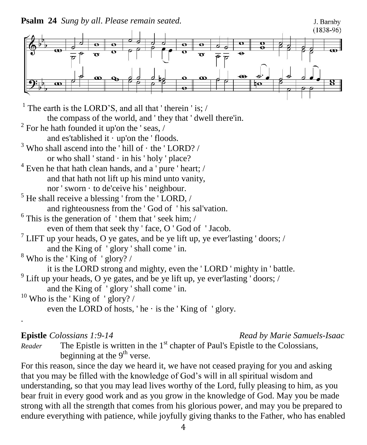**Psalm 24** *Sung by all*. *Please remain seated.*



<sup>1</sup> The earth is the LORD'S, and all that 'therein 'is;  $/$ the compass of the world, and ' they that ' dwell there'in.  $2^2$  For he hath founded it up'on the 'seas, / and es'tablished it  $\cdot$  up'on the 'floods.  $3$  Who shall ascend into the ' hill of  $\cdot$  the ' LORD? / or who shall 'stand  $\cdot$  in his 'holy 'place? <sup>4</sup> Even he that hath clean hands, and a 'pure ' heart; / and that hath not lift up his mind unto vanity, nor ' sworn · to de'ceive his ' neighbour.  $<sup>5</sup>$  He shall receive a blessing ' from the ' LORD,  $/$ </sup> and righteousness from the ' God of ' his sal'vation.  $6$  This is the generation of 'them that' seek him; / even of them that seek thy ' face, O ' God of ' Jacob. <sup>7</sup> LIFT up your heads, O ye gates, and be ye lift up, ye ever'lasting 'doors; / and the King of ' glory ' shall come ' in.  $8$  Who is the 'King of 'glory? / it is the LORD strong and mighty, even the ' LORD ' mighty in ' battle. <sup>9</sup> Lift up your heads, O ye gates, and be ye lift up, ye ever'lasting 'doors; / and the King of ' glory ' shall come ' in.  $10$  Who is the 'King of 'glory? / even the LORD of hosts, ' he  $\cdot$  is the ' King of ' glory.

.

#### **Epistle** *Colossians 1:9-14 Read by Marie Samuels-Isaac*

*Reader* The Epistle is written in the 1<sup>st</sup> chapter of Paul's Epistle to the Colossians, beginning at the  $9<sup>th</sup>$  verse.

For this reason, since the day we heard it, we have not ceased praying for you and asking that you may be filled with the knowledge of God's will in all spiritual wisdom and understanding, so that you may lead lives worthy of the Lord, fully pleasing to him, as you bear fruit in every good work and as you grow in the knowledge of God. May you be made strong with all the strength that comes from his glorious power, and may you be prepared to endure everything with patience, while joyfully giving thanks to the Father, who has enabled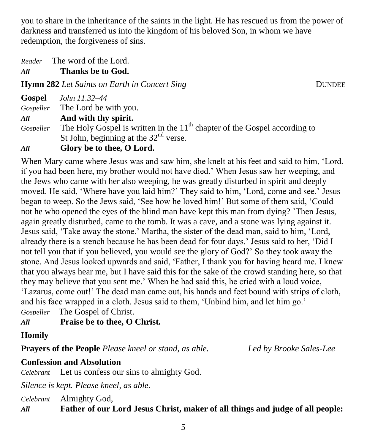you to share in the inheritance of the saints in the light. He has rescued us from the power of darkness and transferred us into the kingdom of his beloved Son, in whom we have redemption, the forgiveness of sins.

*Reader* The word of the Lord.

*All* **Thanks be to God.**

**Hymn 282** *Let Saints on Earth in Concert Sing DUNDEE* 

**Gospel** *John 11.32–44 Gospeller* The Lord be with you. *All* **And with thy spirit.** *Gospeller* The Holy Gospel is written in the 11<sup>th</sup> chapter of the Gospel according to St John, beginning at the  $32<sup>nd</sup>$  verse. *All* **Glory be to thee, O Lord.**

When Mary came where Jesus was and saw him, she knelt at his feet and said to him, 'Lord, if you had been here, my brother would not have died.' When Jesus saw her weeping, and the Jews who came with her also weeping, he was greatly disturbed in spirit and deeply moved. He said, 'Where have you laid him?' They said to him, 'Lord, come and see.' Jesus began to weep. So the Jews said, 'See how he loved him!' But some of them said, 'Could not he who opened the eyes of the blind man have kept this man from dying? 'Then Jesus, again greatly disturbed, came to the tomb. It was a cave, and a stone was lying against it. Jesus said, 'Take away the stone.' Martha, the sister of the dead man, said to him, 'Lord, already there is a stench because he has been dead for four days.' Jesus said to her, 'Did I not tell you that if you believed, you would see the glory of God?' So they took away the stone. And Jesus looked upwards and said, 'Father, I thank you for having heard me. I knew that you always hear me, but I have said this for the sake of the crowd standing here, so that they may believe that you sent me.' When he had said this, he cried with a loud voice, 'Lazarus, come out!' The dead man came out, his hands and feet bound with strips of cloth, and his face wrapped in a cloth. Jesus said to them, 'Unbind him, and let him go.' *Gospeller* The Gospel of Christ.

*All* **Praise be to thee, O Christ.**

**Homily**

**Prayers of the People** *Please kneel or stand, as able. Led by Brooke Sales-Lee*

# **Confession and Absolution**

*Celebrant* Let us confess our sins to almighty God.

*Silence is kept. Please kneel, as able.*

*Celebrant* Almighty God,

*All* **Father of our Lord Jesus Christ, maker of all things and judge of all people:**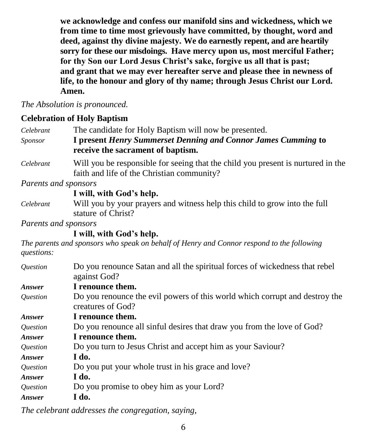**we acknowledge and confess our manifold sins and wickedness, which we from time to time most grievously have committed, by thought, word and deed, against thy divine majesty. We do earnestly repent, and are heartily sorry for these our misdoings. Have mercy upon us, most merciful Father; for thy Son our Lord Jesus Christ's sake, forgive us all that is past; and grant that we may ever hereafter serve and please thee in newness of life, to the honour and glory of thy name; through Jesus Christ our Lord. Amen.**

*The Absolution is pronounced.*

# **Celebration of Holy Baptism**

| Celebrant | The candidate for Holy Baptism will now be presented.                                              |
|-----------|----------------------------------------------------------------------------------------------------|
| Sponsor   | I present Henry Summerset Denning and Connor James Cumming to<br>receive the sacrament of baptism. |
|           |                                                                                                    |

*Celebrant* Will you be responsible for seeing that the child you present is nurtured in the faith and life of the Christian community?

*Parents and sponsors*

### **I will, with God's help.**

*Celebrant* Will you by your prayers and witness help this child to grow into the full stature of Christ?

*Parents and sponsors*

# **I will, with God's help.**

*The parents and sponsors who speak on behalf of Henry and Connor respond to the following questions:*

| Do you renounce Satan and all the spiritual forces of wickedness that rebel                      |
|--------------------------------------------------------------------------------------------------|
| against God?                                                                                     |
| I renounce them.                                                                                 |
| Do you renounce the evil powers of this world which corrupt and destroy the<br>creatures of God? |
| I renounce them.                                                                                 |
| Do you renounce all sinful desires that draw you from the love of God?                           |
| I renounce them.                                                                                 |
| Do you turn to Jesus Christ and accept him as your Saviour?                                      |
| I do.                                                                                            |
| Do you put your whole trust in his grace and love?                                               |
| I do.                                                                                            |
| Do you promise to obey him as your Lord?                                                         |
| I do.                                                                                            |
|                                                                                                  |

*The celebrant addresses the congregation, saying,*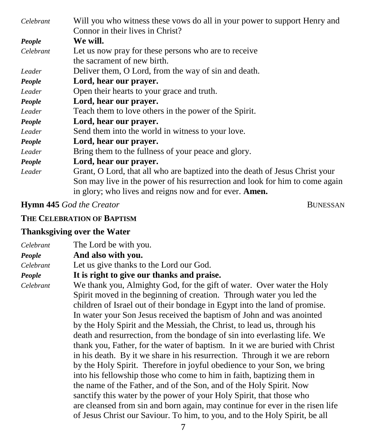| Celebrant | Will you who witness these vows do all in your power to support Henry and    |
|-----------|------------------------------------------------------------------------------|
|           | Connor in their lives in Christ?                                             |
| People    | We will.                                                                     |
| Celebrant | Let us now pray for these persons who are to receive                         |
|           | the sacrament of new birth.                                                  |
| Leader    | Deliver them, O Lord, from the way of sin and death.                         |
| People    | Lord, hear our prayer.                                                       |
| Leader    | Open their hearts to your grace and truth.                                   |
| People    | Lord, hear our prayer.                                                       |
| Leader    | Teach them to love others in the power of the Spirit.                        |
| People    | Lord, hear our prayer.                                                       |
| Leader    | Send them into the world in witness to your love.                            |
| People    | Lord, hear our prayer.                                                       |
| Leader    | Bring them to the fullness of your peace and glory.                          |
| People    | Lord, hear our prayer.                                                       |
| Leader    | Grant, O Lord, that all who are baptized into the death of Jesus Christ your |
|           | Son may live in the power of his resurrection and look for him to come again |
|           | in glory; who lives and reigns now and for ever. <b>Amen.</b>                |

#### **Hymn 445** *God the Creator* **BUNESSAN**

**THE CELEBRATION OF BAPTISM**

#### **Thanksgiving over the Water**

| Celebrant | The Lord be with you.                      |
|-----------|--------------------------------------------|
| People    | And also with you.                         |
| Celebrant | Let us give thanks to the Lord our God.    |
| People    | It is right to give our thanks and praise. |

*Celebrant* We thank you, Almighty God, for the gift of water. Over water the Holy Spirit moved in the beginning of creation. Through water you led the children of Israel out of their bondage in Egypt into the land of promise. In water your Son Jesus received the baptism of John and was anointed by the Holy Spirit and the Messiah, the Christ, to lead us, through his death and resurrection, from the bondage of sin into everlasting life. We thank you, Father, for the water of baptism. In it we are buried with Christ in his death. By it we share in his resurrection. Through it we are reborn by the Holy Spirit. Therefore in joyful obedience to your Son, we bring into his fellowship those who come to him in faith, baptizing them in the name of the Father, and of the Son, and of the Holy Spirit. Now sanctify this water by the power of your Holy Spirit, that those who are cleansed from sin and born again, may continue for ever in the risen life of Jesus Christ our Saviour. To him, to you, and to the Holy Spirit, be all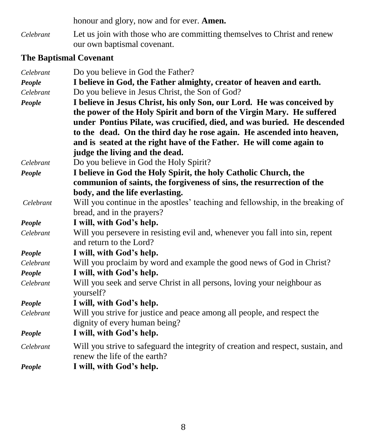honour and glory, now and for ever. **Amen.**

*Celebrant* Let us join with those who are committing themselves to Christ and renew our own baptismal covenant.

# **The Baptismal Covenant**

| Celebrant | Do you believe in God the Father?                                                                                |
|-----------|------------------------------------------------------------------------------------------------------------------|
| People    | I believe in God, the Father almighty, creator of heaven and earth.                                              |
| Celebrant | Do you believe in Jesus Christ, the Son of God?                                                                  |
| People    | I believe in Jesus Christ, his only Son, our Lord. He was conceived by                                           |
|           | the power of the Holy Spirit and born of the Virgin Mary. He suffered                                            |
|           | under Pontius Pilate, was crucified, died, and was buried. He descended                                          |
|           | to the dead. On the third day he rose again. He ascended into heaven,                                            |
|           | and is seated at the right have of the Father. He will come again to                                             |
|           | judge the living and the dead.                                                                                   |
| Celebrant | Do you believe in God the Holy Spirit?                                                                           |
| People    | I believe in God the Holy Spirit, the holy Catholic Church, the                                                  |
|           | communion of saints, the forgiveness of sins, the resurrection of the                                            |
|           | body, and the life everlasting.                                                                                  |
| Celebrant | Will you continue in the apostles' teaching and fellowship, in the breaking of                                   |
|           | bread, and in the prayers?                                                                                       |
| People    | I will, with God's help.                                                                                         |
| Celebrant | Will you persevere in resisting evil and, whenever you fall into sin, repent<br>and return to the Lord?          |
| People    | I will, with God's help.                                                                                         |
| Celebrant | Will you proclaim by word and example the good news of God in Christ?                                            |
| People    | I will, with God's help.                                                                                         |
| Celebrant | Will you seek and serve Christ in all persons, loving your neighbour as<br>yourself?                             |
| People    | I will, with God's help.                                                                                         |
| Celebrant | Will you strive for justice and peace among all people, and respect the                                          |
|           | dignity of every human being?                                                                                    |
| People    | I will, with God's help.                                                                                         |
| Celebrant | Will you strive to safeguard the integrity of creation and respect, sustain, and<br>renew the life of the earth? |
| People    | I will, with God's help.                                                                                         |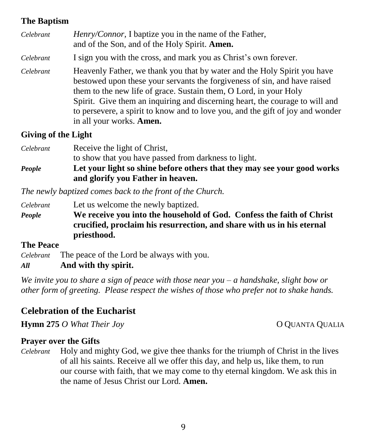## **The Baptism**

| Celebrant | Henry/Connor, I baptize you in the name of the Father,<br>and of the Son, and of the Holy Spirit. Amen.                                                                                                                                                                                                                                                                                                                         |
|-----------|---------------------------------------------------------------------------------------------------------------------------------------------------------------------------------------------------------------------------------------------------------------------------------------------------------------------------------------------------------------------------------------------------------------------------------|
| Celebrant | I sign you with the cross, and mark you as Christ's own forever.                                                                                                                                                                                                                                                                                                                                                                |
| Celebrant | Heavenly Father, we thank you that by water and the Holy Spirit you have<br>bestowed upon these your servants the forgiveness of sin, and have raised<br>them to the new life of grace. Sustain them, O Lord, in your Holy<br>Spirit. Give them an inquiring and discerning heart, the courage to will and<br>to persevere, a spirit to know and to love you, and the gift of joy and wonder<br>in all your works. <b>Amen.</b> |

## **Giving of the Light**

| Celebrant | Receive the light of Christ,                                            |
|-----------|-------------------------------------------------------------------------|
|           | to show that you have passed from darkness to light.                    |
| People    | Let your light so shine before others that they may see your good works |
|           | and glorify you Father in heaven.                                       |

*The newly baptized comes back to the front of the Church.*

*Celebrant* Let us welcome the newly baptized. *People* **We receive you into the household of God. Confess the faith of Christ crucified, proclaim his resurrection, and share with us in his eternal priesthood.**

#### **The Peace**

*Celebrant* The peace of the Lord be always with you. *All* **And with thy spirit.**

*We invite you to share a sign of peace with those near you – a handshake, slight bow or other form of greeting. Please respect the wishes of those who prefer not to shake hands.*

# **Celebration of the Eucharist**

**Hymn 275** *O What Their Joy* **COUANTA QUALIA** 

#### **Prayer over the Gifts**

*Celebrant* Holy and mighty God, we give thee thanks for the triumph of Christ in the lives of all his saints. Receive all we offer this day, and help us, like them, to run our course with faith, that we may come to thy eternal kingdom. We ask this in the name of Jesus Christ our Lord. **Amen.**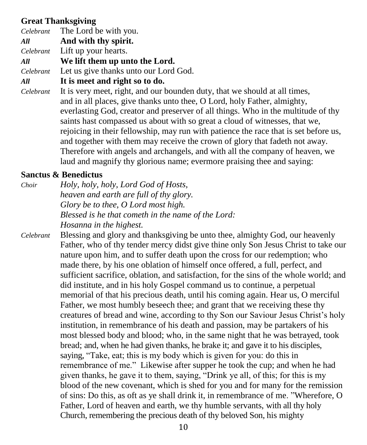# **Great Thanksgiving**

|     | <i>Celebrant</i> The Lord be with you.                                               |
|-----|--------------------------------------------------------------------------------------|
| All | And with thy spirit.                                                                 |
|     | Celebrant Lift up your hearts.                                                       |
| All | We lift them up unto the Lord.                                                       |
|     | <i>Celebrant</i> Let us give thanks unto our Lord God.                               |
| All | It is meet and right so to do.                                                       |
|     | <i>Celebrant</i> It is very meet, right, and our bounden duty, that we should at all |

*Celebranty*, that we should at all times, and in all places, give thanks unto thee, O Lord, holy Father, almighty, everlasting God, creator and preserver of all things. Who in the multitude of thy saints hast compassed us about with so great a cloud of witnesses, that we, rejoicing in their fellowship, may run with patience the race that is set before us, and together with them may receive the crown of glory that fadeth not away. Therefore with angels and archangels, and with all the company of heaven, we laud and magnify thy glorious name; evermore praising thee and saying:

## **Sanctus & Benedictus**

- *Choir Holy, holy, holy, Lord God of Hosts, heaven and earth are full of thy glory. Glory be to thee, O Lord most high. Blessed is he that cometh in the name of the Lord: Hosanna in the highest.*
- *Celebrant* Blessing and glory and thanksgiving be unto thee, almighty God, our heavenly Father, who of thy tender mercy didst give thine only Son Jesus Christ to take our nature upon him, and to suffer death upon the cross for our redemption; who made there, by his one oblation of himself once offered, a full, perfect, and sufficient sacrifice, oblation, and satisfaction, for the sins of the whole world; and did institute, and in his holy Gospel command us to continue, a perpetual memorial of that his precious death, until his coming again. Hear us, O merciful Father, we most humbly beseech thee; and grant that we receiving these thy creatures of bread and wine, according to thy Son our Saviour Jesus Christ's holy institution, in remembrance of his death and passion, may be partakers of his most blessed body and blood; who, in the same night that he was betrayed, took bread; and, when he had given thanks, he brake it; and gave it to his disciples, saying, "Take, eat; this is my body which is given for you: do this in remembrance of me." Likewise after supper he took the cup; and when he had given thanks, he gave it to them, saying, "Drink ye all, of this; for this is my blood of the new covenant, which is shed for you and for many for the remission of sins: Do this, as oft as ye shall drink it, in remembrance of me. "Wherefore, O Father, Lord of heaven and earth, we thy humble servants, with all thy holy Church, remembering the precious death of thy beloved Son, his mighty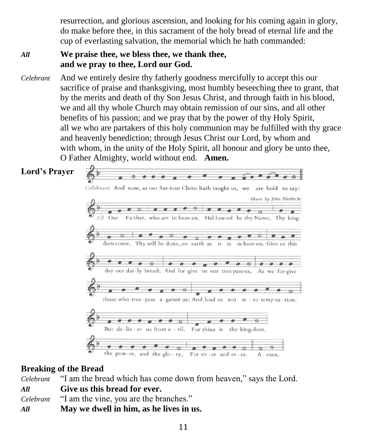resurrection, and glorious ascension, and looking for his coming again in glory, do make before thee, in this sacrament of the holy bread of eternal life and the cup of everlasting salvation, the memorial which he hath commanded:

# *All* **We praise thee, we bless thee, we thank thee, and we pray to thee, Lord our God.**

*Celebrant* And we entirely desire thy fatherly goodness mercifully to accept this our sacrifice of praise and thanksgiving, most humbly beseeching thee to grant, that by the merits and death of thy Son Jesus Christ, and through faith in his blood, we and all thy whole Church may obtain remission of our sins, and all other benefits of his passion; and we pray that by the power of thy Holy Spirit, all we who are partakers of this holy communion may be fulfilled with thy grace and heavenly benediction; through Jesus Christ our Lord, by whom and with whom, in the unity of the Holy Spirit, all honour and glory be unto thee, O Father Almighty, world without end. **Amen.**

# **Lord's Prayer**



# **Breaking of the Bread**

*Celebrant* "I am the bread which has come down from heaven," says the Lord. *All* **Give us this bread for ever.** *Celebrant* "I am the vine, you are the branches." *All* **May we dwell in him, as he lives in us.**